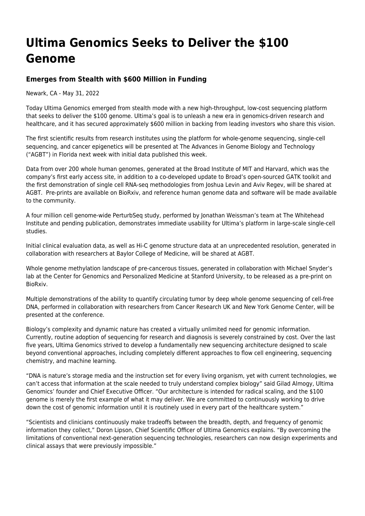# **Ultima Genomics Seeks to Deliver the \$100 Genome**

# **Emerges from Stealth with \$600 Million in Funding**

Newark, CA - May 31, 2022

Today Ultima Genomics emerged from stealth mode with a new high-throughput, low-cost sequencing platform that seeks to deliver the \$100 genome. Ultima's goal is to unleash a new era in genomics-driven research and healthcare, and it has secured approximately \$600 million in backing from leading investors who share this vision.

The first scientific results from research institutes using the platform for whole-genome sequencing, single-cell sequencing, and cancer epigenetics will be presented at The Advances in Genome Biology and Technology ("AGBT") in Florida next week with initial data published this week.

Data from over 200 whole human genomes, generated at the Broad Institute of MIT and Harvard, which was the company's first early access site, in addition to a co-developed update to Broad's open-sourced GATK toolkit and the first demonstration of single cell RNA-seq methodologies from Joshua Levin and Aviv Regev, will be shared at AGBT. Pre-prints are available on BioRxiv, and reference human genome data and software will be made available to the community.

A four million cell genome-wide PerturbSeq study, performed by Jonathan Weissman's team at The Whitehead Institute and pending publication, demonstrates immediate usability for Ultima's platform in large-scale single-cell studies.

Initial clinical evaluation data, as well as Hi-C genome structure data at an unprecedented resolution, generated in collaboration with researchers at Baylor College of Medicine, will be shared at AGBT.

Whole genome methylation landscape of pre-cancerous tissues, generated in collaboration with Michael Snyder's lab at the Center for Genomics and Personalized Medicine at Stanford University, to be released as a pre-print on BioRxiv.

Multiple demonstrations of the ability to quantify circulating tumor by deep whole genome sequencing of cell-free DNA, performed in collaboration with researchers from Cancer Research UK and New York Genome Center, will be presented at the conference.

Biology's complexity and dynamic nature has created a virtually unlimited need for genomic information. Currently, routine adoption of sequencing for research and diagnosis is severely constrained by cost. Over the last five years, Ultima Genomics strived to develop a fundamentally new sequencing architecture designed to scale beyond conventional approaches, including completely different approaches to flow cell engineering, sequencing chemistry, and machine learning.

"DNA is nature's storage media and the instruction set for every living organism, yet with current technologies, we can't access that information at the scale needed to truly understand complex biology" said Gilad Almogy, Ultima Genomics' founder and Chief Executive Officer. "Our architecture is intended for radical scaling, and the \$100 genome is merely the first example of what it may deliver. We are committed to continuously working to drive down the cost of genomic information until it is routinely used in every part of the healthcare system."

"Scientists and clinicians continuously make tradeoffs between the breadth, depth, and frequency of genomic information they collect," Doron Lipson, Chief Scientific Officer of Ultima Genomics explains. "By overcoming the limitations of conventional next-generation sequencing technologies, researchers can now design experiments and clinical assays that were previously impossible."